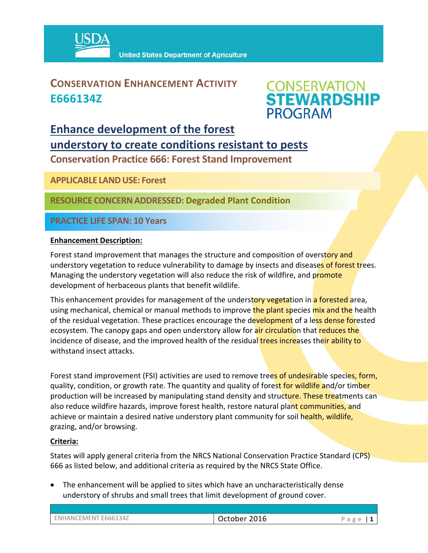

### **CONSERVATION ENHANCEMENT ACTIVITY E666134Z**



## **Enhance development of the forest understory to create conditions resistant to pests**

**Conservation Practice 666: Forest Stand Improvement** 

**APPLICABLE LANDUSE: Forest**

**RESOURCE CONCERNADDRESSED: Degraded Plant Condition** 

**PRACTICE LIFE SPAN: 10 Years**

#### **Enhancement Description:**

Forest stand improvement that manages the structure and composition of overstory and understory vegetation to reduce vulnerability to damage by insects and diseases of forest trees. Managing the understory vegetation will also reduce the risk of wildfire, and promote development of herbaceous plants that benefit wildlife.

This enhancement provides for management of the understory vegetation in a forested area, using mechanical, chemical or manual methods to improve the plant species mix and the health of the residual vegetation. These practices encourage the development of a less dense forested ecosystem. The canopy gaps and open understory allow for air circulation that reduces the incidence of disease, and the improved health of the residual trees increases their ability to withstand insect attacks.

Forest stand improvement (FSI) activities are used to remove trees of undesirable species, form, quality, condition, or growth rate. The quantity and quality of forest for wildlife and/or timber production will be increased by manipulating stand density and structure. These treatments can also reduce wildfire hazards, improve forest health, restore natural plant communities, and achieve or maintain a desired native understory plant community for soil health, wildlife, grazing, and/or browsing.

#### **Criteria:**

States will apply general criteria from the NRCS National Conservation Practice Standard (CPS) 666 as listed below, and additional criteria as required by the NRCS State Office.

 The enhancement will be applied to sites which have an uncharacteristically dense understory of shrubs and small trees that limit development of ground cover.

| ENHANCEMENT E666134Z | 2016<br>October | $2\sigma$<br>d |
|----------------------|-----------------|----------------|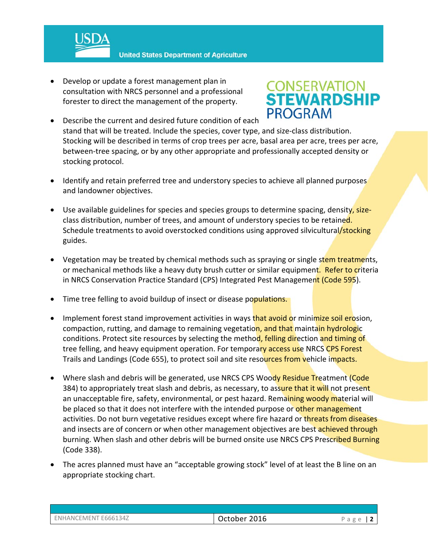

 Develop or update a forest management plan in consultation with NRCS personnel and a professional forester to direct the management of the property.

# **CONSERVATION<br>STEWARDSHIP PROGRAM**

- Describe the current and desired future condition of each stand that will be treated. Include the species, cover type, and size‐class distribution. Stocking will be described in terms of crop trees per acre, basal area per acre, trees per acre, between-tree spacing, or by any other appropriate and professionally accepted density or stocking protocol.
- Identify and retain preferred tree and understory species to achieve all planned purposes and landowner objectives.
- Use available guidelines for species and species groups to determine spacing, density, sizeclass distribution, number of trees, and amount of understory species to be retained. Schedule treatments to avoid overstocked conditions using approved silvicultural/stocking guides.
- Vegetation may be treated by chemical methods such as spraying or single stem treatments, or mechanical methods like a heavy duty brush cutter or similar equipment. Refer to criteria in NRCS Conservation Practice Standard (CPS) Integrated Pest Management (Code 595).
- Time tree felling to avoid buildup of insect or disease populations.
- Implement forest stand improvement activities in ways that avoid or minimize soil erosion, compaction, rutting, and damage to remaining vegetation, and that maintain hydrologic conditions. Protect site resources by selecting the method, felling direction and timing of tree felling, and heavy equipment operation. For temporary access use NRCS CPS Forest Trails and Landings (Code 655), to protect soil and site resources from vehicle impacts.
- Where slash and debris will be generated, use NRCS CPS Woody Residue Treatment (Code 384) to appropriately treat slash and debris, as necessary, to assure that it will not present an unacceptable fire, safety, environmental, or pest hazard. Remaining woody material will be placed so that it does not interfere with the intended purpose or other management activities. Do not burn vegetative residues except where fire hazard or threats from diseases and insects are of concern or when other management objectives are best achieved through burning. When slash and other debris will be burned onsite use NRCS CPS Prescribed Burning (Code 338).
- The acres planned must have an "acceptable growing stock" level of at least the B line on an appropriate stocking chart.